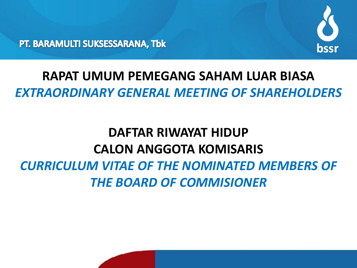

PT. BARAMULTI SUKSESSARANA, Tbk

## **RAPAT UMUM PEMEGANG SAHAM LUAR BIASA**  *EXTRAORDINARY GENERAL MEETING OF SHAREHOLDERS*

# **DAFTAR RIWAYAT HIDUP CALON ANGGOTA KOMISARIS**  *CURRICULUM VITAE OF THE NOMINATED MEMBERS OF THE BOARD OF COMMISIONER*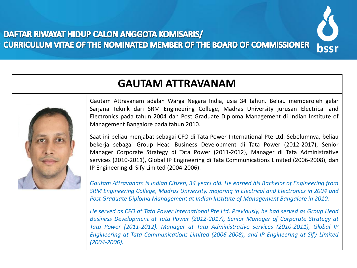### DAFTAR RIWAYAT HIDUP CALON ANGGOTA KOMISARIS/ **CURRICULUM VITAE OF THE NOMINATED MEMBER OF THE BOARD OF COMMISSIONER**



## **GAUTAM ATTRAVANAM**



Gautam Attravanam adalah Warga Negara India, usia 34 tahun. Beliau memperoleh gelar Sarjana Teknik dari SRM Engineering College, Madras University jurusan Electrical and Electronics pada tahun 2004 dan Post Graduate Diploma Management di Indian Institute of Management Bangalore pada tahun 2010.

Saat ini beliau menjabat sebagai CFO di Tata Power International Pte Ltd. Sebelumnya, beliau bekerja sebagai Group Head Business Development di Tata Power (2012-2017), Senior Manager Corporate Strategy di Tata Power (2011-2012), Manager di Tata Administrative services (2010-2011), Global IP Engineering di Tata Communications Limited (2006-2008), dan IP Engineering di Sify Limited (2004-2006).

*Gautam Attravanam is Indian Citizen, 34 years old. He earned his Bachelor of Engineering from SRM Engineering College, Madras University, majoring in Electrical and Electronics in 2004 and Post Graduate Diploma Management at Indian Institute of Management Bangalore in 2010.*

*He served as CFO at Tata Power International Pte Ltd. Previously, he had served as Group Head Business Development at Tata Power (2012-2017), Senior Manager of Corporate Strategy at Tata Power (2011-2012), Manager at Tata Administrative services (2010-2011), Global IP Engineering at Tata Communications Limited (2006-2008), and IP Engineering at Sify Limited (2004-2006).*